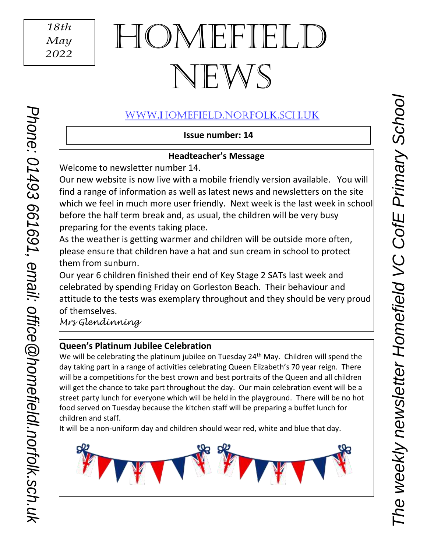# HOMEFIE NEWS

# [www.Homefield.norfolk.sch.uk](http://www.homefield.norfolk.sch.uk/)

**Issue number: 14**

### **Headteacher's Message**

Welcome to newsletter number 14.

Our new website is now live with a mobile friendly version available. You will find a range of information as well as latest news and newsletters on the site which we feel in much more user friendly. Next week is the last week in school before the half term break and, as usual, the children will be very busy preparing for the events taking place.

As the weather is getting warmer and children will be outside more often, please ensure that children have a hat and sun cream in school to protect them from sunburn.

Our year 6 children finished their end of Key Stage 2 SATs last week and celebrated by spending Friday on Gorleston Beach. Their behaviour and attitude to the tests was exemplary throughout and they should be very proud of themselves.

*Mrs Glendinning*

 $\overline{\phantom{a}}$  $\overline{\phantom{a}}$ 

*Phone: 01493 661691, email: [office@h](mailto:office@reydonprimary.org)omefieldl.norfolk.sch.uk*

Phone: 01493 661691, email: office @homefieldl.norfolk.sch.uk

# **Queen's Platinum Jubilee Celebration**

We will be celebrating the platinum jubilee on Tuesday 24<sup>th</sup> May. Children will spend the day taking part in a range of activities celebrating Queen Elizabeth's 70 year reign. There will be a competitions for the best crown and best portraits of the Queen and all children will get the chance to take part throughout the day. Our main celebration event will be a street party lunch for everyone which will be held in the playground. There will be no hot food served on Tuesday because the kitchen staff will be preparing a buffet lunch for children and staff.

It will be a non-uniform day and children should wear red, white and blue that day.

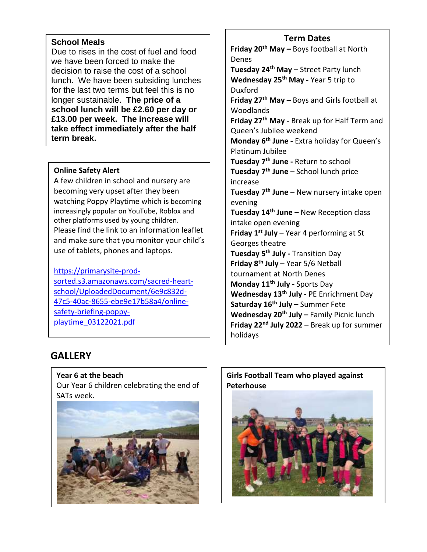#### **School Meals**

Due to rises in the cost of fuel and food we have been forced to make the decision to raise the cost of a school lunch. We have been subsiding lunches for the last two terms but feel this is no longer sustainable. **The price of a school lunch will be £2.60 per day or £13.00 per week. The increase will take effect immediately after the half term break.**

#### **Online Safety Alert**

I

A few children in school and nursery are becoming very upset after they been watching Poppy Playtime which is becoming increasingly popular on YouTube, Roblox and other platforms used by young children. Please find the link to an information leaflet and make sure that you monitor your child's use of tablets, phones and laptops.

[https://primarysite-prod](https://primarysite-prod-sorted.s3.amazonaws.com/sacred-heart-school/UploadedDocument/6e9c832d-47c5-40ac-8655-ebe9e17b58a4/online-safety-briefing-poppy-playtime_03122021.pdf)[sorted.s3.amazonaws.com/sacred-heart](https://primarysite-prod-sorted.s3.amazonaws.com/sacred-heart-school/UploadedDocument/6e9c832d-47c5-40ac-8655-ebe9e17b58a4/online-safety-briefing-poppy-playtime_03122021.pdf)[school/UploadedDocument/6e9c832d-](https://primarysite-prod-sorted.s3.amazonaws.com/sacred-heart-school/UploadedDocument/6e9c832d-47c5-40ac-8655-ebe9e17b58a4/online-safety-briefing-poppy-playtime_03122021.pdf)[47c5-40ac-8655-ebe9e17b58a4/online](https://primarysite-prod-sorted.s3.amazonaws.com/sacred-heart-school/UploadedDocument/6e9c832d-47c5-40ac-8655-ebe9e17b58a4/online-safety-briefing-poppy-playtime_03122021.pdf)[safety-briefing-poppy](https://primarysite-prod-sorted.s3.amazonaws.com/sacred-heart-school/UploadedDocument/6e9c832d-47c5-40ac-8655-ebe9e17b58a4/online-safety-briefing-poppy-playtime_03122021.pdf)[playtime\\_03122021.pdf](https://primarysite-prod-sorted.s3.amazonaws.com/sacred-heart-school/UploadedDocument/6e9c832d-47c5-40ac-8655-ebe9e17b58a4/online-safety-briefing-poppy-playtime_03122021.pdf)

#### **Term Dates**

**Friday 20th May –** Boys football at North Denes **Tuesday 24th May –** Street Party lunch **Wednesday 25th May -** Year 5 trip to Duxford **Friday 27th May –** Boys and Girls football at Woodlands **Friday 27th May -** Break up for Half Term and Queen's Jubilee weekend **Monday 6th June -** Extra holiday for Queen's Platinum Jubilee **Tuesday 7th June -** Return to school **Tuesday 7th June** – School lunch price increase **Tuesday 7th June** – New nursery intake open evening **Tuesday 14th June** – New Reception class intake open evening **Friday 1st July** – Year 4 performing at St Georges theatre **Tuesday 5th July -** Transition Day **Friday 8th July** – Year 5/6 Netball tournament at North Denes **Monday 11th July -** Sports Day **Wednesday 13th July -** PE Enrichment Day **Saturday 16th July –** Summer Fete **Wednesday 20th July –** Family Picnic lunch **Friday 22nd July 2022** – Break up for summer holidays

# **GALLERY**

**Year 6 at the beach** Our Year 6 children celebrating the end of SATs week.